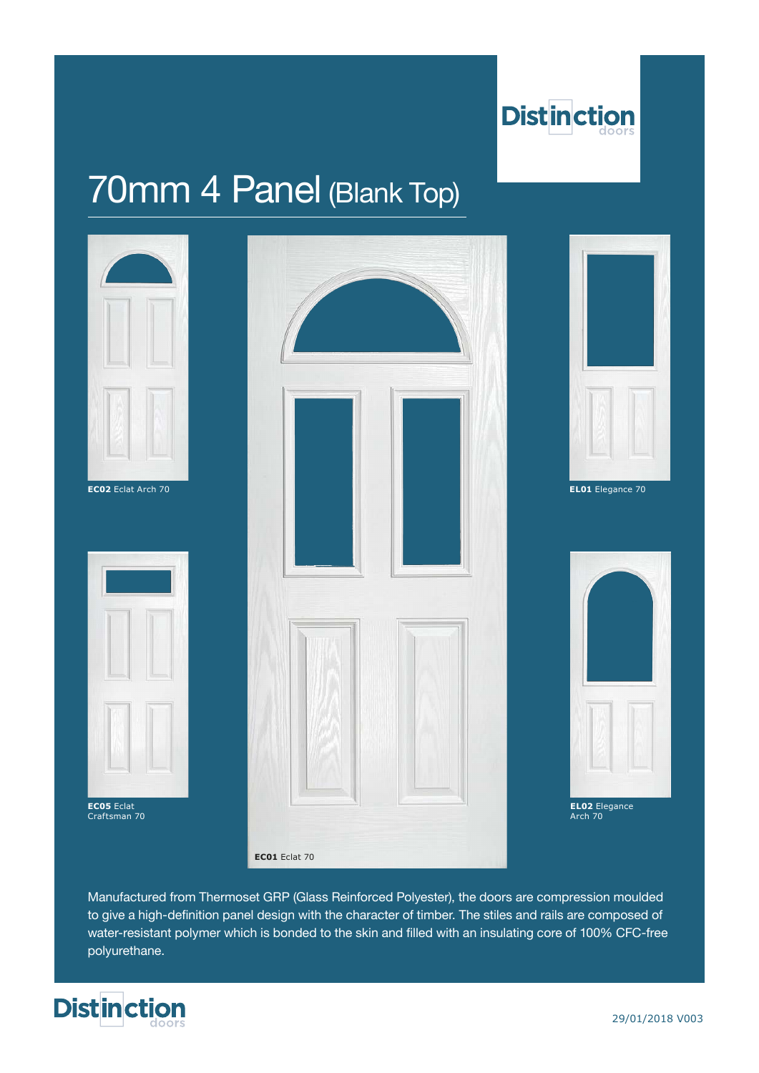

# 70mm 4 Panel (Blank Top)



Manufactured from Thermoset GRP (Glass Reinforced Polyester), the doors are compression moulded to give a high-definition panel design with the character of timber. The stiles and rails are composed of water-resistant polymer which is bonded to the skin and filled with an insulating core of 100% CFC-free polyurethane.